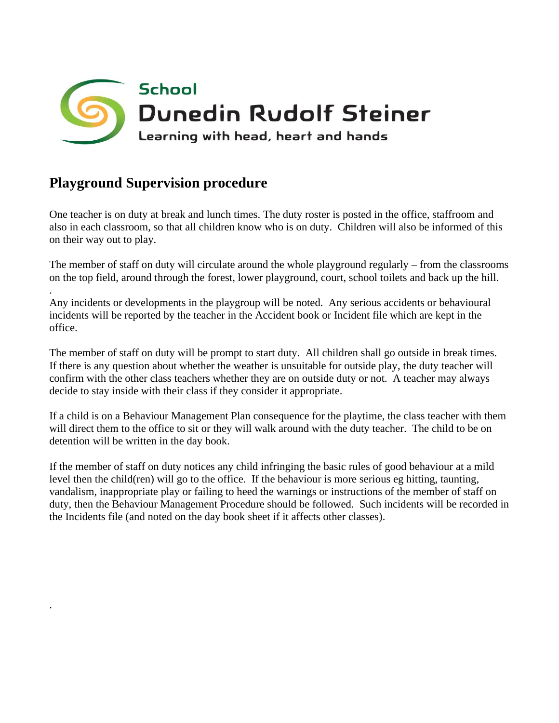

## **Playground Supervision procedure**

.

.

One teacher is on duty at break and lunch times. The duty roster is posted in the office, staffroom and also in each classroom, so that all children know who is on duty. Children will also be informed of this on their way out to play.

The member of staff on duty will circulate around the whole playground regularly – from the classrooms on the top field, around through the forest, lower playground, court, school toilets and back up the hill.

Any incidents or developments in the playgroup will be noted. Any serious accidents or behavioural incidents will be reported by the teacher in the Accident book or Incident file which are kept in the office.

The member of staff on duty will be prompt to start duty. All children shall go outside in break times. If there is any question about whether the weather is unsuitable for outside play, the duty teacher will confirm with the other class teachers whether they are on outside duty or not. A teacher may always decide to stay inside with their class if they consider it appropriate.

If a child is on a Behaviour Management Plan consequence for the playtime, the class teacher with them will direct them to the office to sit or they will walk around with the duty teacher. The child to be on detention will be written in the day book.

If the member of staff on duty notices any child infringing the basic rules of good behaviour at a mild level then the child(ren) will go to the office. If the behaviour is more serious eg hitting, taunting, vandalism, inappropriate play or failing to heed the warnings or instructions of the member of staff on duty, then the Behaviour Management Procedure should be followed. Such incidents will be recorded in the Incidents file (and noted on the day book sheet if it affects other classes).